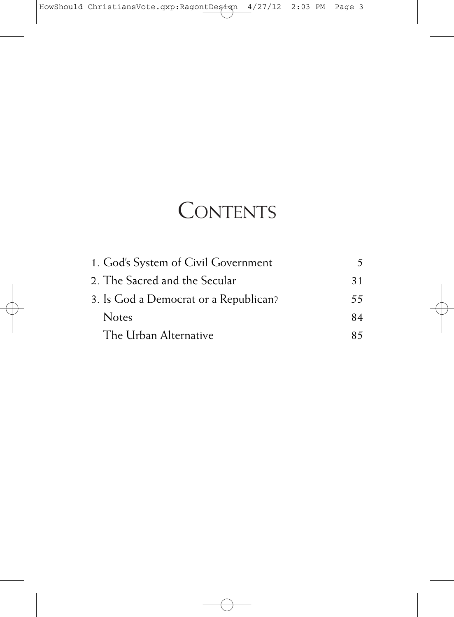## **CONTENTS**

| 1. God's System of Civil Government   | 5  |
|---------------------------------------|----|
| 2. The Sacred and the Secular         | 31 |
| 3. Is God a Democrat or a Republican? | 55 |
| <b>Notes</b>                          | 84 |
| The Urban Alternative                 | 85 |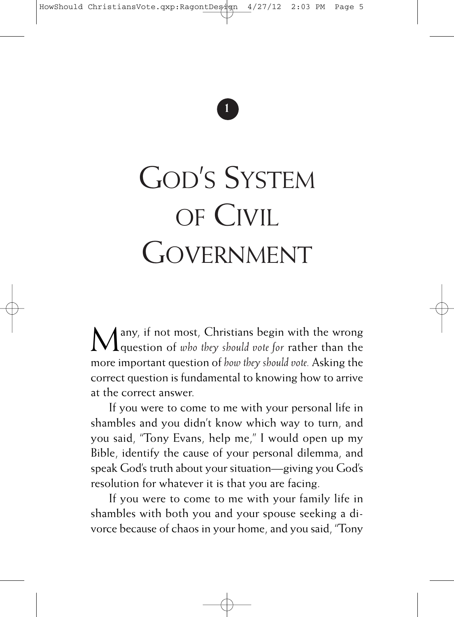

# GOD'S SYSTEM OF CIVIL **COVERNMENT**

 $\bigvee$  any, if not most, Christians begin with the wrong question of *who they should vote for* rather than the more important question of *how they should vote.* Asking the correct question is fundamental to knowing how to arrive at the correct answer.

If you were to come to me with your personal life in shambles and you didn't know which way to turn, and you said, "Tony Evans, help me," I would open up my Bible, identify the cause of your personal dilemma, and speak God's truth about your situation—giving you God's resolution for whatever it is that you are facing.

If you were to come to me with your family life in shambles with both you and your spouse seeking a divorce because of chaos in your home, and you said, "Tony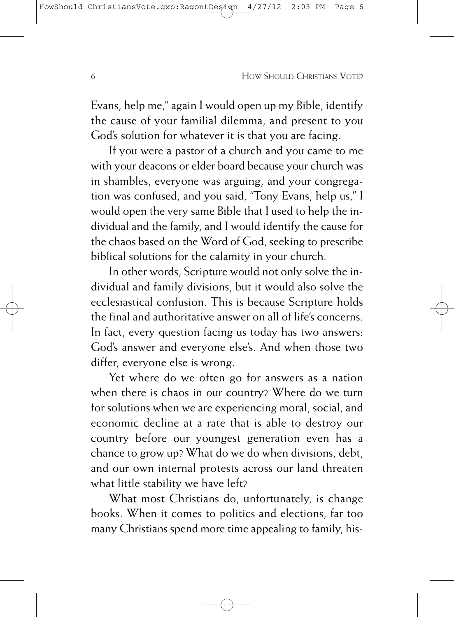Evans, help me," again I would open up my Bible, identify the cause of your familial dilemma, and present to you God's solution for whatever it is that you are facing.

If you were a pastor of a church and you came to me with your deacons or elder board because your church was in shambles, everyone was arguing, and your congregation was confused, and you said, "Tony Evans, help us," I would open the very same Bible that I used to help the individual and the family, and I would identify the cause for the chaos based on the Word of God, seeking to prescribe biblical solutions for the calamity in your church.

In other words, Scripture would not only solve the individual and family divisions, but it would also solve the ecclesiastical confusion. This is because Scripture holds the final and authoritative answer on all of life's concerns. In fact, every question facing us today has two answers: God's answer and everyone else's. And when those two differ, everyone else is wrong.

Yet where do we often go for answers as a nation when there is chaos in our country? Where do we turn for solutions when we are experiencing moral, social, and economic decline at a rate that is able to destroy our country before our youngest generation even has a chance to grow up? What do we do when divisions, debt, and our own internal protests across our land threaten what little stability we have left?

What most Christians do, unfortunately, is change books. When it comes to politics and elections, far too many Christians spend more time appealing to family, his-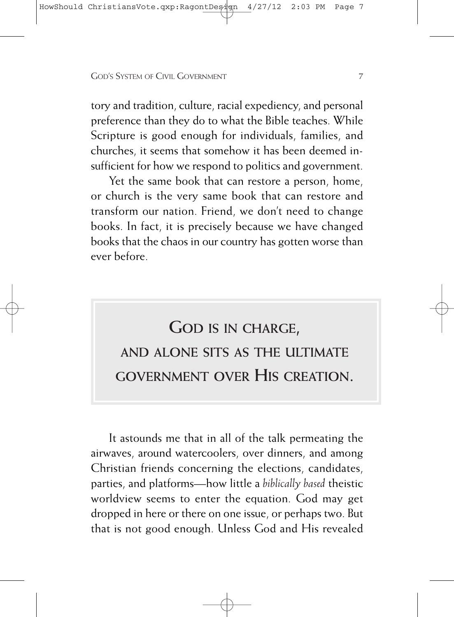tory and tradition, culture, racial expediency, and personal preference than they do to what the Bible teaches. While Scripture is good enough for individuals, families, and churches, it seems that somehow it has been deemed insufficient for how we respond to politics and government.

Yet the same book that can restore a person, home, or church is the very same book that can restore and transform our nation. Friend, we don't need to change books. In fact, it is precisely because we have changed books that the chaos in our country has gotten worse than ever before.

## **GOD IS IN CHARGE, AND ALONE SITS AS THE ULTIMATE GOVERNMENT OVER HIS CREATION.**

It astounds me that in all of the talk permeating the airwaves, around watercoolers, over dinners, and among Christian friends concerning the elections, candidates, parties, and platforms—how little a *biblically based* theistic worldview seems to enter the equation. God may get dropped in here or there on one issue, or perhaps two. But that is not good enough. Unless God and His revealed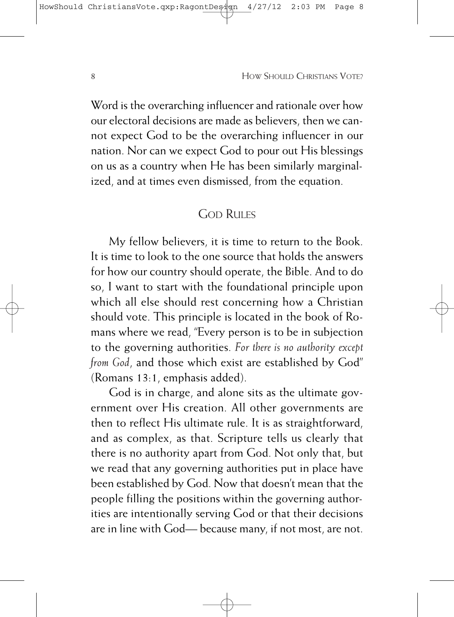Word is the overarching influencer and rationale over how our electoral decisions are made as believers, then we cannot expect God to be the overarching influencer in our nation. Nor can we expect God to pour out His blessings on us as a country when He has been similarly marginalized, and at times even dismissed, from the equation.

#### GOD RULES

My fellow believers, it is time to return to the Book. It is time to look to the one source that holds the answers for how our country should operate, the Bible. And to do so, I want to start with the foundational principle upon which all else should rest concerning how a Christian should vote. This principle is located in the book of Romans where we read, "Every person is to be in subjection to the governing authorities. *For there is no authority except from God*, and those which exist are established by God" (Romans 13:1, emphasis added).

God is in charge, and alone sits as the ultimate government over His creation. All other governments are then to reflect His ultimate rule. It is as straightforward, and as complex, as that. Scripture tells us clearly that there is no authority apart from God. Not only that, but we read that any governing authorities put in place have been established by God. Now that doesn't mean that the people filling the positions within the governing authorities are intentionally serving God or that their decisions are in line with God— because many, if not most, are not.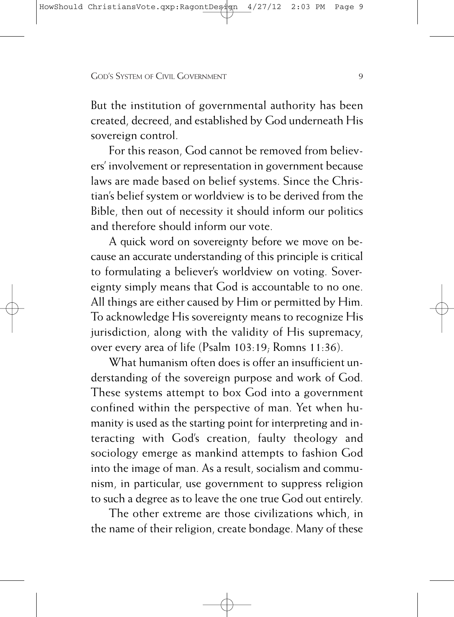But the institution of governmental authority has been created, decreed, and established by God underneath His sovereign control.

For this reason, God cannot be removed from believers' involvement or representation in government because laws are made based on belief systems. Since the Christian's belief system or worldview is to be derived from the Bible, then out of necessity it should inform our politics and therefore should inform our vote.

A quick word on sovereignty before we move on because an accurate understanding of this principle is critical to formulating a believer's worldview on voting. Sovereignty simply means that God is accountable to no one. All things are either caused by Him or permitted by Him. To acknowledge His sovereignty means to recognize His jurisdiction, along with the validity of His supremacy, over every area of life (Psalm 103:19; Romns 11:36).

What humanism often does is offer an insufficient understanding of the sovereign purpose and work of God. These systems attempt to box God into a government confined within the perspective of man. Yet when humanity is used as the starting point for interpreting and interacting with God's creation, faulty theology and sociology emerge as mankind attempts to fashion God into the image of man. As a result, socialism and communism, in particular, use government to suppress religion to such a degree as to leave the one true God out entirely.

The other extreme are those civilizations which, in the name of their religion, create bondage. Many of these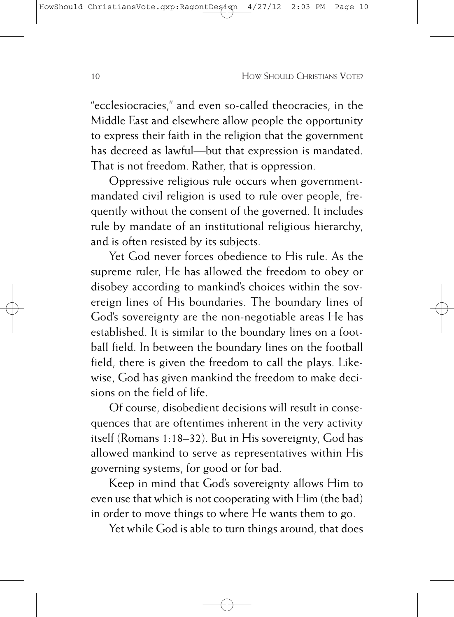"ecclesiocracies," and even so-called theocracies, in the Middle East and elsewhere allow people the opportunity to express their faith in the religion that the government has decreed as lawful—but that expression is mandated. That is not freedom. Rather, that is oppression.

Oppressive religious rule occurs when governmentmandated civil religion is used to rule over people, frequently without the consent of the governed. It includes rule by mandate of an institutional religious hierarchy, and is often resisted by its subjects.

Yet God never forces obedience to His rule. As the supreme ruler, He has allowed the freedom to obey or disobey according to mankind's choices within the sovereign lines of His boundaries. The boundary lines of God's sovereignty are the non-negotiable areas He has established. It is similar to the boundary lines on a football field. In between the boundary lines on the football field, there is given the freedom to call the plays. Likewise, God has given mankind the freedom to make decisions on the field of life.

Of course, disobedient decisions will result in consequences that are oftentimes inherent in the very activity itself (Romans 1:18–32). But in His sovereignty, God has allowed mankind to serve as representatives within His governing systems, for good or for bad.

Keep in mind that God's sovereignty allows Him to even use that which is not cooperating with Him (the bad) in order to move things to where He wants them to go.

Yet while God is able to turn things around, that does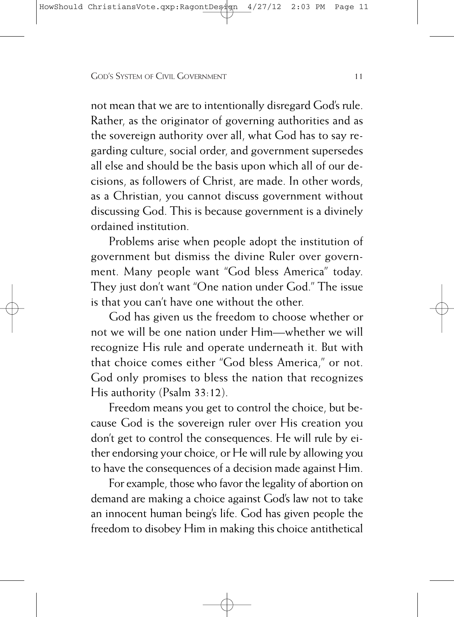not mean that we are to intentionally disregard God's rule. Rather, as the originator of governing authorities and as the sovereign authority over all, what God has to say regarding culture, social order, and government supersedes all else and should be the basis upon which all of our decisions, as followers of Christ, are made. In other words, as a Christian, you cannot discuss government without discussing God. This is because government is a divinely ordained institution.

Problems arise when people adopt the institution of government but dismiss the divine Ruler over government. Many people want "God bless America" today. They just don't want "One nation under God." The issue is that you can't have one without the other.

God has given us the freedom to choose whether or not we will be one nation under Him—whether we will recognize His rule and operate underneath it. But with that choice comes either "God bless America," or not. God only promises to bless the nation that recognizes His authority (Psalm 33:12).

Freedom means you get to control the choice, but because God is the sovereign ruler over His creation you don't get to control the consequences. He will rule by either endorsing your choice, or He will rule by allowing you to have the consequences of a decision made against Him.

For example, those who favor the legality of abortion on demand are making a choice against God's law not to take an innocent human being's life. God has given people the freedom to disobey Him in making this choice antithetical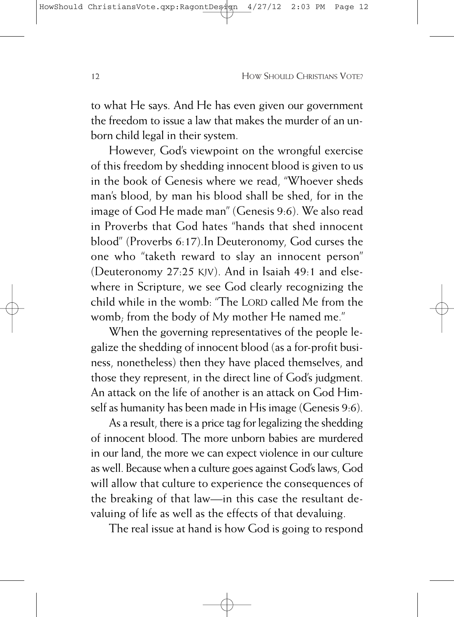to what He says. And He has even given our government the freedom to issue a law that makes the murder of an unborn child legal in their system.

However, God's viewpoint on the wrongful exercise of this freedom by shedding innocent blood is given to us in the book of Genesis where we read, "Whoever sheds man's blood, by man his blood shall be shed, for in the image of God He made man" (Genesis 9:6). We also read in Proverbs that God hates "hands that shed innocent blood" (Proverbs 6:17).In Deuteronomy, God curses the one who "taketh reward to slay an innocent person" (Deuteronomy 27:25 KJV). And in Isaiah 49:1 and elsewhere in Scripture, we see God clearly recognizing the child while in the womb: "The LORD called Me from the womb; from the body of My mother He named me."

When the governing representatives of the people legalize the shedding of innocent blood (as a for-profit business, nonetheless) then they have placed themselves, and those they represent, in the direct line of God's judgment. An attack on the life of another is an attack on God Himself as humanity has been made in His image (Genesis 9:6).

As a result, there is a price tag for legalizing the shedding of innocent blood. The more unborn babies are murdered in our land, the more we can expect violence in our culture as well. Because when a culture goes against God's laws, God will allow that culture to experience the consequences of the breaking of that law—in this case the resultant devaluing of life as well as the effects of that devaluing.

The real issue at hand is how God is going to respond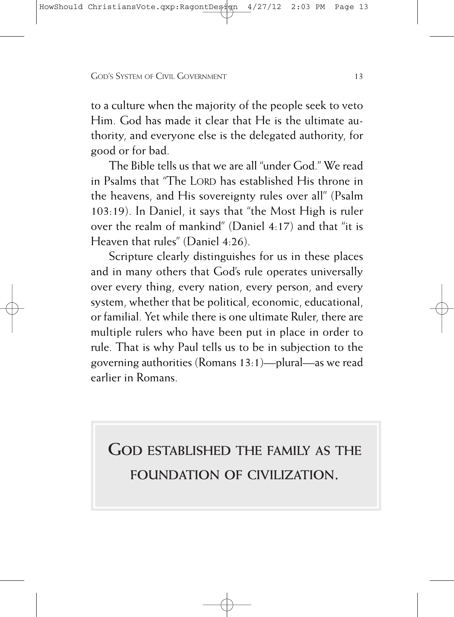to a culture when the majority of the people seek to veto Him. God has made it clear that He is the ultimate authority, and everyone else is the delegated authority, for good or for bad.

The Bible tells us that we are all "under God." We read in Psalms that "The LORD has established His throne in the heavens, and His sovereignty rules over all" (Psalm 103:19). In Daniel, it says that "the Most High is ruler over the realm of mankind" (Daniel 4:17) and that "it is Heaven that rules" (Daniel 4:26).

Scripture clearly distinguishes for us in these places and in many others that God's rule operates universally over every thing, every nation, every person, and every system, whether that be political, economic, educational, or familial. Yet while there is one ultimate Ruler, there are multiple rulers who have been put in place in order to rule. That is why Paul tells us to be in subjection to the governing authorities (Romans 13:1)—plural—as we read earlier in Romans.

## **GOD ESTABLISHED THE FAMILY AS THE FOUNDATION OF CIVILIZATION.**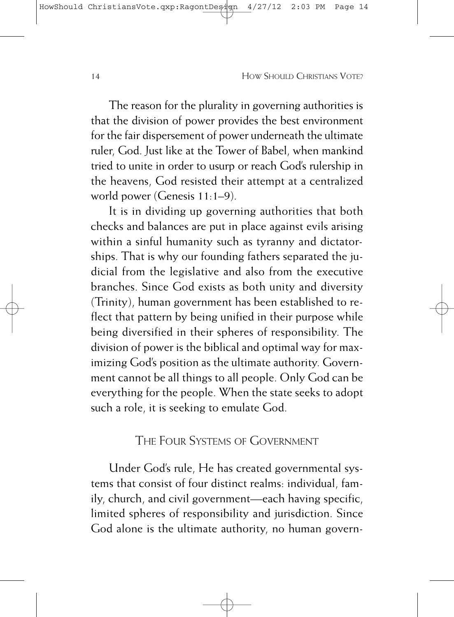The reason for the plurality in governing authorities is that the division of power provides the best environment for the fair dispersement of power underneath the ultimate ruler, God. Just like at the Tower of Babel, when mankind tried to unite in order to usurp or reach God's rulership in the heavens, God resisted their attempt at a centralized world power (Genesis 11:1–9).

It is in dividing up governing authorities that both checks and balances are put in place against evils arising within a sinful humanity such as tyranny and dictatorships. That is why our founding fathers separated the judicial from the legislative and also from the executive branches. Since God exists as both unity and diversity (Trinity), human government has been established to reflect that pattern by being unified in their purpose while being diversified in their spheres of responsibility. The division of power is the biblical and optimal way for maximizing God's position as the ultimate authority. Government cannot be all things to all people. Only God can be everything for the people. When the state seeks to adopt such a role, it is seeking to emulate God.

#### THE FOUR SYSTEMS OF GOVERNMENT

Under God's rule, He has created governmental systems that consist of four distinct realms: individual, family, church, and civil government—each having specific, limited spheres of responsibility and jurisdiction. Since God alone is the ultimate authority, no human govern-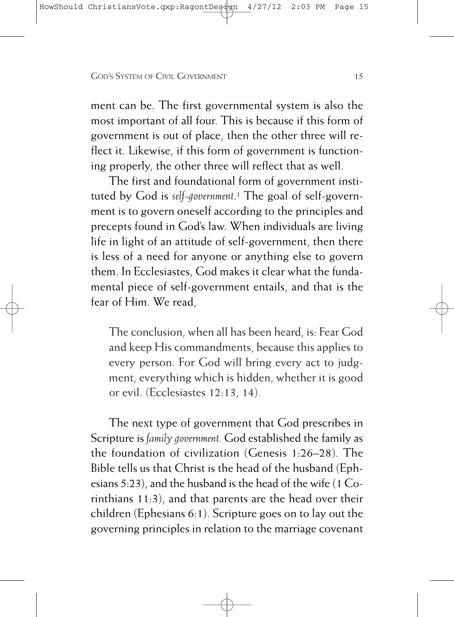ment can be. The first governmental system is also the most important of all four. This is because if this form of government is out of place, then the other three will reflect it. Likewise, if this form of government is functioning properly, the other three will reflect that as well.

The first and foundational form of government instituted by God is *self-government*.1 The goal of self-government is to govern oneself according to the principles and precepts found in God's law. When individuals are living life in light of an attitude of self-government, then there is less of a need for anyone or anything else to govern them. In Ecclesiastes, God makes it clear what the fundamental piece of self-government entails, and that is the fear of Him. We read,

The conclusion, when all has been heard, is: Fear God and keep His commandments, because this applies to every person. For God will bring every act to judgment, everything which is hidden, whether it is good or evil. (Ecclesiastes 12:13, 14).

The next type of government that God prescribes in Scripture is *family government.* God established the family as the foundation of civilization (Genesis 1:26–28). The Bible tells us that Christ is the head of the husband (Ephesians 5:23), and the husband is the head of the wife (1 Corinthians 11:3), and that parents are the head over their children (Ephesians 6:1). Scripture goes on to lay out the governing principles in relation to the marriage covenant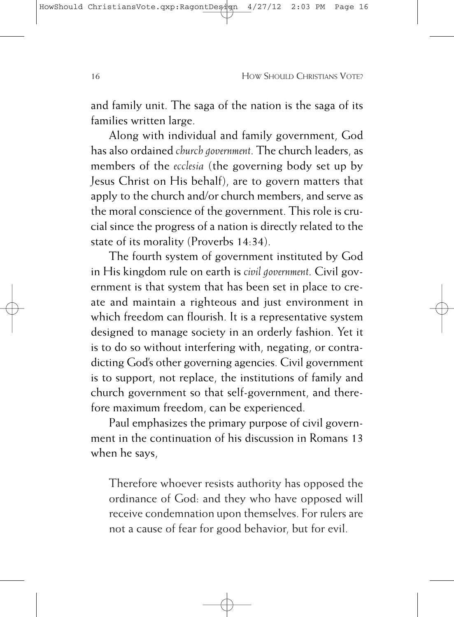and family unit. The saga of the nation is the saga of its families written large.

Along with individual and family government, God has also ordained *church government*. The church leaders, as members of the *ecclesia* (the governing body set up by Jesus Christ on His behalf), are to govern matters that apply to the church and/or church members, and serve as the moral conscience of the government. This role is crucial since the progress of a nation is directly related to the state of its morality (Proverbs 14:34).

The fourth system of government instituted by God in His kingdom rule on earth is *civil government*. Civil government is that system that has been set in place to create and maintain a righteous and just environment in which freedom can flourish. It is a representative system designed to manage society in an orderly fashion. Yet it is to do so without interfering with, negating, or contradicting God's other governing agencies. Civil government is to support, not replace, the institutions of family and church government so that self-government, and therefore maximum freedom, can be experienced.

Paul emphasizes the primary purpose of civil government in the continuation of his discussion in Romans 13 when he says,

Therefore whoever resists authority has opposed the ordinance of God: and they who have opposed will receive condemnation upon themselves. For rulers are not a cause of fear for good behavior, but for evil.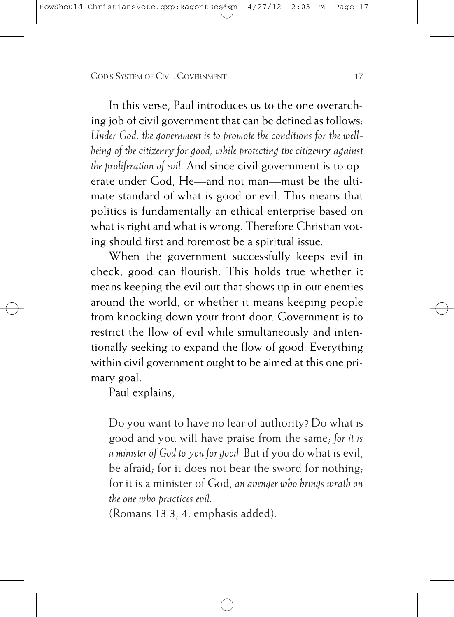In this verse, Paul introduces us to the one overarching job of civil government that can be defined as follows: *Under God, the government is to promote the conditions for the wellbeing of the citizenry for good, while protecting the citizenry against the proliferation of evil.* And since civil government is to operate under God, He—and not man—must be the ultimate standard of what is good or evil. This means that politics is fundamentally an ethical enterprise based on what is right and what is wrong. Therefore Christian voting should first and foremost be a spiritual issue.

When the government successfully keeps evil in check, good can flourish. This holds true whether it means keeping the evil out that shows up in our enemies around the world, or whether it means keeping people from knocking down your front door. Government is to restrict the flow of evil while simultaneously and intentionally seeking to expand the flow of good. Everything within civil government ought to be aimed at this one primary goal.

Paul explains,

Do you want to have no fear of authority? Do what is good and you will have praise from the same; *for it is a ministerof God to you for good.* But if you do what is evil, be afraid; for it does not bear the sword for nothing; for it is a minister of God, *an avenger who brings wrath on the one who practices evil.*

(Romans 13:3, 4, emphasis added).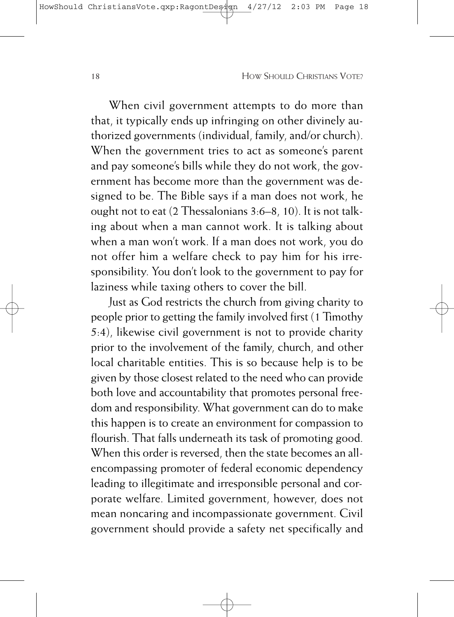When civil government attempts to do more than that, it typically ends up infringing on other divinely authorized governments (individual, family, and/or church). When the government tries to act as someone's parent and pay someone's bills while they do not work, the government has become more than the government was designed to be. The Bible says if a man does not work, he ought not to eat (2 Thessalonians 3:6–8, 10). It is not talking about when a man cannot work. It is talking about when a man won't work. If a man does not work, you do not offer him a welfare check to pay him for his irresponsibility. You don't look to the government to pay for laziness while taxing others to cover the bill.

Just as God restricts the church from giving charity to people prior to getting the family involved first (1 Timothy 5:4), likewise civil government is not to provide charity prior to the involvement of the family, church, and other local charitable entities. This is so because help is to be given by those closest related to the need who can provide both love and accountability that promotes personal freedom and responsibility. What government can do to make this happen is to create an environment for compassion to flourish. That falls underneath its task of promoting good. When this order is reversed, then the state becomes an allencompassing promoter of federal economic dependency leading to illegitimate and irresponsible personal and corporate welfare. Limited government, however, does not mean noncaring and incompassionate government. Civil government should provide a safety net specifically and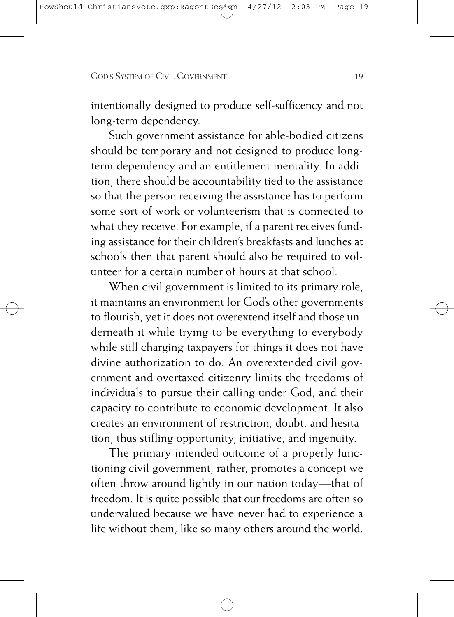intentionally designed to produce self-sufficency and not long-term dependency.

Such government assistance for able-bodied citizens should be temporary and not designed to produce longterm dependency and an entitlement mentality. In addition, there should be accountability tied to the assistance so that the person receiving the assistance has to perform some sort of work or volunteerism that is connected to what they receive. For example, if a parent receives funding assistance for their children's breakfasts and lunches at schools then that parent should also be required to volunteer for a certain number of hours at that school.

When civil government is limited to its primary role, it maintains an environment for God's other governments to flourish, yet it does not overextend itself and those underneath it while trying to be everything to everybody while still charging taxpayers for things it does not have divine authorization to do. An overextended civil government and overtaxed citizenry limits the freedoms of individuals to pursue their calling under God, and their capacity to contribute to economic development. It also creates an environment of restriction, doubt, and hesitation, thus stifling opportunity, initiative, and ingenuity.

The primary intended outcome of a properly functioning civil government, rather, promotes a concept we often throw around lightly in our nation today—that of freedom. It is quite possible that our freedoms are often so undervalued because we have never had to experience a life without them, like so many others around the world.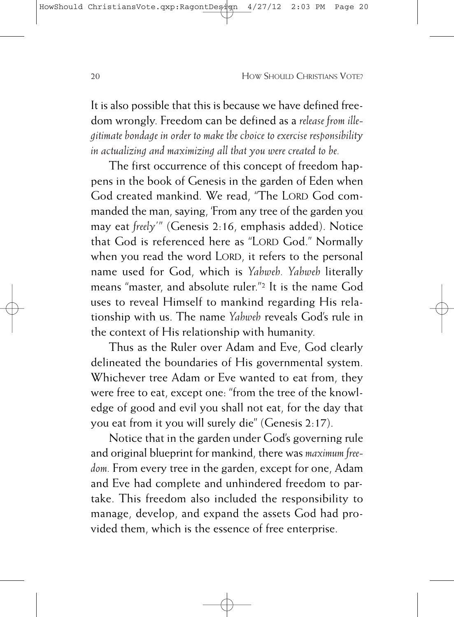It is also possible that this is because we have defined freedom wrongly. Freedom can be defined as a *release from illegitimate bondage in order to make the choice to exercise responsibility in actualizing and maximizing all that you were created to be.*

The first occurrence of this concept of freedom happens in the book of Genesis in the garden of Eden when God created mankind. We read, "The LORD God commanded the man, saying, 'From any tree of the garden you may eat *freely'*" (Genesis 2:16, emphasis added). Notice that God is referenced here as "LORD God." Normally when you read the word LORD, it refers to the personal name used for God, which is *Yahweh. Yahweh* literally means "master, and absolute ruler."2 It is the name God uses to reveal Himself to mankind regarding His relationship with us. The name *Yahweh* reveals God's rule in the context of His relationship with humanity.

Thus as the Ruler over Adam and Eve, God clearly delineated the boundaries of His governmental system. Whichever tree Adam or Eve wanted to eat from, they were free to eat, except one: "from the tree of the knowledge of good and evil you shall not eat, for the day that you eat from it you will surely die" (Genesis 2:17).

Notice that in the garden under God's governing rule and original blueprint for mankind, there was *maximum freedom.* From every tree in the garden, except for one, Adam and Eve had complete and unhindered freedom to partake. This freedom also included the responsibility to manage, develop, and expand the assets God had provided them, which is the essence of free enterprise.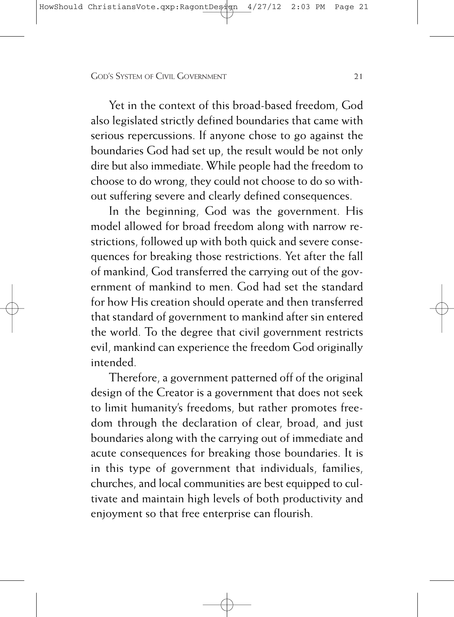Yet in the context of this broad-based freedom, God also legislated strictly defined boundaries that came with serious repercussions. If anyone chose to go against the boundaries God had set up, the result would be not only dire but also immediate. While people had the freedom to choose to do wrong, they could not choose to do so without suffering severe and clearly defined consequences.

In the beginning, God was the government. His model allowed for broad freedom along with narrow restrictions, followed up with both quick and severe consequences for breaking those restrictions. Yet after the fall of mankind, God transferred the carrying out of the government of mankind to men. God had set the standard for how His creation should operate and then transferred that standard of government to mankind after sin entered the world. To the degree that civil government restricts evil, mankind can experience the freedom God originally intended.

Therefore, a government patterned off of the original design of the Creator is a government that does not seek to limit humanity's freedoms, but rather promotes freedom through the declaration of clear, broad, and just boundaries along with the carrying out of immediate and acute consequences for breaking those boundaries. It is in this type of government that individuals, families, churches, and local communities are best equipped to cultivate and maintain high levels of both productivity and enjoyment so that free enterprise can flourish.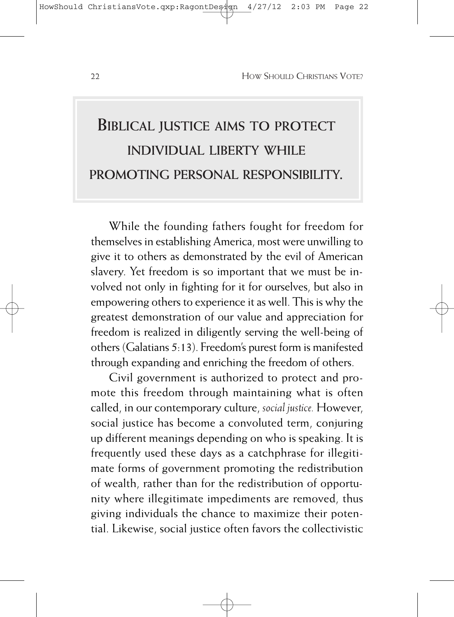## **BIBLICAL JUSTICE AIMS TO PROTECT INDIVIDUAL LIBERTY WHILE PROMOTING PERSONAL RESPONSIBILITY.**

While the founding fathers fought for freedom for themselves in establishing America, most were unwilling to give it to others as demonstrated by the evil of American slavery. Yet freedom is so important that we must be involved not only in fighting for it for ourselves, but also in empowering others to experience it as well. This is why the greatest demonstration of our value and appreciation for freedom is realized in diligently serving the well-being of others (Galatians 5:13). Freedom's purest form is manifested through expanding and enriching the freedom of others.

Civil government is authorized to protect and promote this freedom through maintaining what is often called, in our contemporary culture, *social justice.* However, social justice has become a convoluted term, conjuring up different meanings depending on who is speaking. It is frequently used these days as a catchphrase for illegitimate forms of government promoting the redistribution of wealth, rather than for the redistribution of opportunity where illegitimate impediments are removed, thus giving individuals the chance to maximize their potential. Likewise, social justice often favors the collectivistic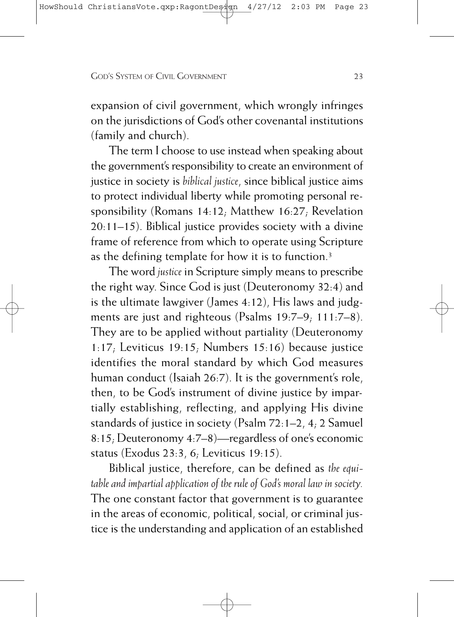expansion of civil government, which wrongly infringes on the jurisdictions of God's other covenantal institutions (family and church).

The term I choose to use instead when speaking about the government's responsibility to create an environment of justice in society is *biblical justice*, since biblical justice aims to protect individual liberty while promoting personal responsibility (Romans 14:12; Matthew 16:27; Revelation 20:11–15). Biblical justice provides society with a divine frame of reference from which to operate using Scripture as the defining template for how it is to function.<sup>3</sup>

The word *justice* in Scripture simply means to prescribe the right way. Since God is just (Deuteronomy 32:4) and is the ultimate lawgiver (James 4:12), His laws and judgments are just and righteous (Psalms 19:7–9; 111:7–8). They are to be applied without partiality (Deuteronomy 1:17; Leviticus 19:15; Numbers 15:16) because justice identifies the moral standard by which God measures human conduct (Isaiah 26:7). It is the government's role, then, to be God's instrument of divine justice by impartially establishing, reflecting, and applying His divine standards of justice in society (Psalm 72:1–2, 4; 2 Samuel 8:15; Deuteronomy 4:7–8)—regardless of one's economic status (Exodus 23:3, 6; Leviticus 19:15).

Biblical justice, therefore, can be defined as *the equitable and impartial application of the ruleof God's moral law in society.* The one constant factor that government is to guarantee in the areas of economic, political, social, or criminal justice is the understanding and application of an established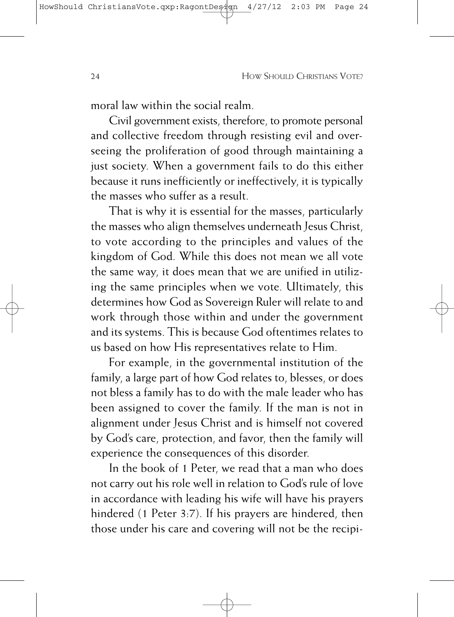moral law within the social realm.

Civil government exists, therefore, to promote personal and collective freedom through resisting evil and overseeing the proliferation of good through maintaining a just society. When a government fails to do this either because it runs inefficiently or ineffectively, it is typically the masses who suffer as a result.

That is why it is essential for the masses, particularly the masses who align themselves underneath Jesus Christ, to vote according to the principles and values of the kingdom of God. While this does not mean we all vote the same way, it does mean that we are unified in utilizing the same principles when we vote. Ultimately, this determines how God as Sovereign Ruler will relate to and work through those within and under the government and its systems. This is because God oftentimes relates to us based on how His representatives relate to Him.

For example, in the governmental institution of the family, a large part of how God relates to, blesses, or does not bless a family has to do with the male leader who has been assigned to cover the family. If the man is not in alignment under Jesus Christ and is himself not covered by God's care, protection, and favor, then the family will experience the consequences of this disorder.

In the book of 1 Peter, we read that a man who does not carry out his role well in relation to God's rule of love in accordance with leading his wife will have his prayers hindered (1 Peter 3:7). If his prayers are hindered, then those under his care and covering will not be the recipi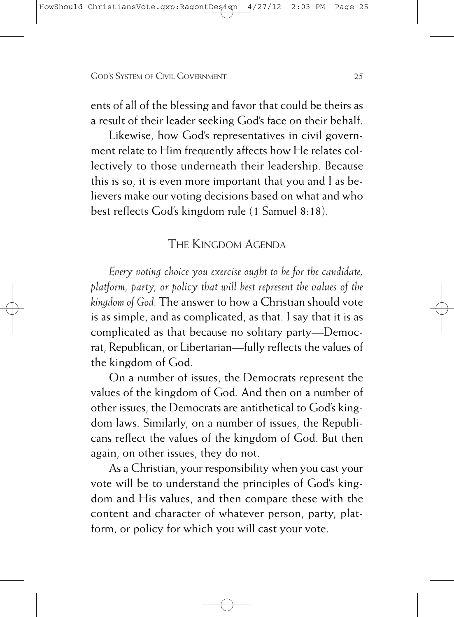ents of all of the blessing and favor that could be theirs as a result of their leader seeking God's face on their behalf.

Likewise, how God's representatives in civil government relate to Him frequently affects how He relates collectively to those underneath their leadership. Because this is so, it is even more important that you and I as believers make our voting decisions based on what and who best reflects God's kingdom rule (1 Samuel 8:18).

### THE KINGDOM AGENDA

*Every voting choice you exercise ought to be for the candidate, platform, party, or policy that will best represent the values of the kingdom of God.* The answer to how a Christian should vote is as simple, and as complicated, as that. I say that it is as complicated as that because no solitary party—Democrat, Republican, or Libertarian—fully reflects the values of the kingdom of God.

On a number of issues, the Democrats represent the values of the kingdom of God. And then on a number of other issues, the Democrats are antithetical to God's kingdom laws. Similarly, on a number of issues, the Republicans reflect the values of the kingdom of God. But then again, on other issues, they do not.

As a Christian, your responsibility when you cast your vote will be to understand the principles of God's kingdom and His values, and then compare these with the content and character of whatever person, party, platform, or policy for which you will cast your vote.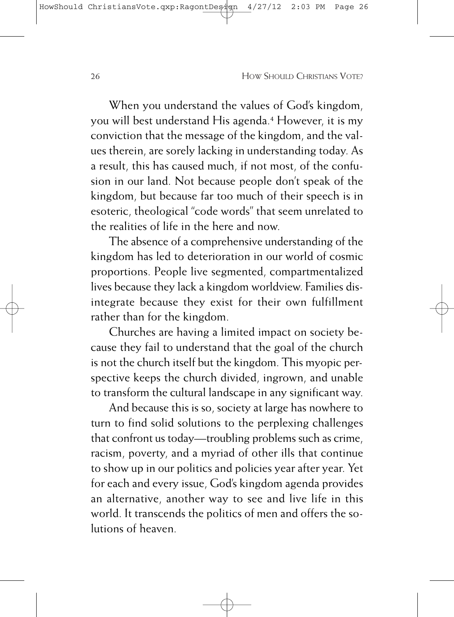When you understand the values of God's kingdom, you will best understand His agenda.4 However, it is my conviction that the message of the kingdom, and the values therein, are sorely lacking in understanding today. As a result, this has caused much, if not most, of the confusion in our land. Not because people don't speak of the kingdom, but because far too much of their speech is in esoteric, theological "code words" that seem unrelated to the realities of life in the here and now.

The absence of a comprehensive understanding of the kingdom has led to deterioration in our world of cosmic proportions. People live segmented, compartmentalized lives because they lack a kingdom worldview. Families disintegrate because they exist for their own fulfillment rather than for the kingdom.

Churches are having a limited impact on society because they fail to understand that the goal of the church is not the church itself but the kingdom. This myopic perspective keeps the church divided, ingrown, and unable to transform the cultural landscape in any significant way.

And because this is so, society at large has nowhere to turn to find solid solutions to the perplexing challenges that confront us today—troubling problems such as crime, racism, poverty, and a myriad of other ills that continue to show up in our politics and policies year after year. Yet for each and every issue, God's kingdom agenda provides an alternative, another way to see and live life in this world. It transcends the politics of men and offers the solutions of heaven.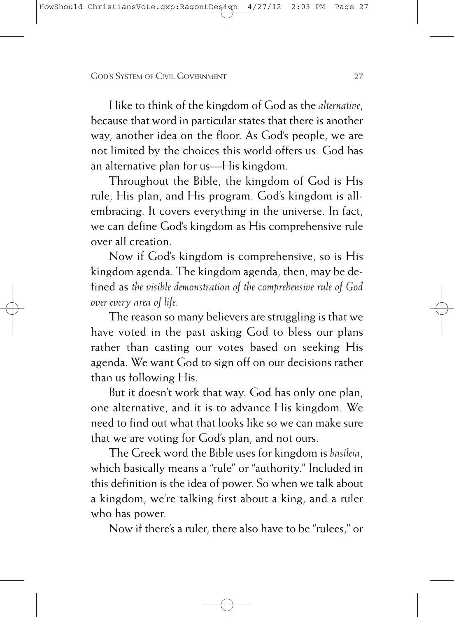I like to think of the kingdom of God as the *alternative*, because that word in particular states that there is another way, another idea on the floor. As God's people, we are not limited by the choices this world offers us. God has an alternative plan for us—His kingdom.

Throughout the Bible, the kingdom of God is His rule, His plan, and His program. God's kingdom is allembracing. It covers everything in the universe. In fact, we can define God's kingdom as His comprehensive rule over all creation.

Now if God's kingdom is comprehensive, so is His kingdom agenda. The kingdom agenda, then, may be defined as *the visible demonstration of the comprehensive rule of God over every area of life.*

The reason so many believers are struggling is that we have voted in the past asking God to bless our plans rather than casting our votes based on seeking His agenda. We want God to sign off on our decisions rather than us following His.

But it doesn't work that way. God has only one plan, one alternative, and it is to advance His kingdom. We need to find out what that looks like so we can make sure that we are voting for God's plan, and not ours.

The Greek word the Bible uses for kingdom is *basileia*, which basically means a "rule" or "authority." Included in this definition is the idea of power. So when we talk about a kingdom, we're talking first about a king, and a ruler who has power.

Now if there's a ruler, there also have to be "rulees," or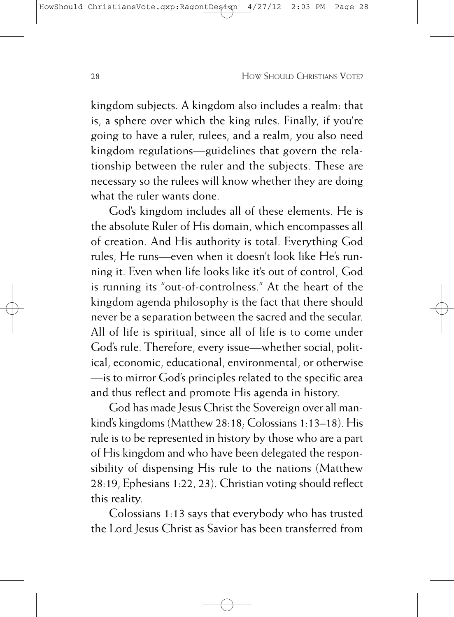kingdom subjects. A kingdom also includes a realm: that is, a sphere over which the king rules. Finally, if you're going to have a ruler, rulees, and a realm, you also need kingdom regulations—guidelines that govern the relationship between the ruler and the subjects. These are necessary so the rulees will know whether they are doing what the ruler wants done.

God's kingdom includes all of these elements. He is the absolute Ruler of His domain, which encompasses all of creation. And His authority is total. Everything God rules, He runs—even when it doesn't look like He's running it. Even when life looks like it's out of control, God is running its "out-of-controlness." At the heart of the kingdom agenda philosophy is the fact that there should never be a separation between the sacred and the secular. All of life is spiritual, since all of life is to come under God's rule. Therefore, every issue—whether social, political, economic, educational, environmental, or otherwise —is to mirror God's principles related to the specific area and thus reflect and promote His agenda in history.

God has made Jesus Christ the Sovereign over all mankind's kingdoms (Matthew 28:18; Colossians 1:13–18). His rule is to be represented in history by those who are a part of His kingdom and who have been delegated the responsibility of dispensing His rule to the nations (Matthew 28:19, Ephesians 1:22, 23). Christian voting should reflect this reality.

Colossians 1:13 says that everybody who has trusted the Lord Jesus Christ as Savior has been transferred from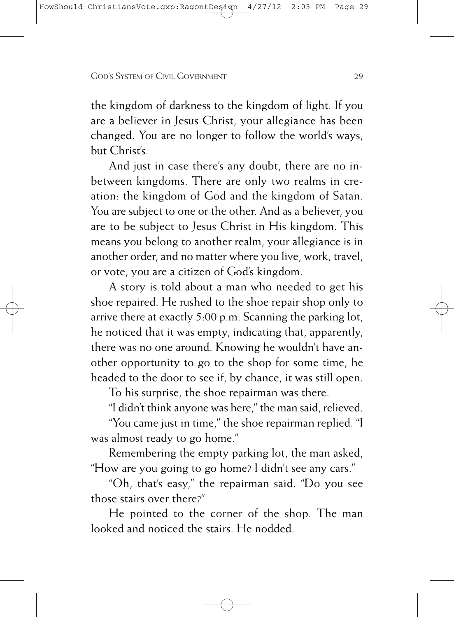the kingdom of darkness to the kingdom of light. If you are a believer in Jesus Christ, your allegiance has been changed. You are no longer to follow the world's ways, but Christ's.

And just in case there's any doubt, there are no inbetween kingdoms. There are only two realms in creation: the kingdom of God and the kingdom of Satan. You are subject to one or the other. And as a believer, you are to be subject to Jesus Christ in His kingdom. This means you belong to another realm, your allegiance is in another order, and no matter where you live, work, travel, or vote, you are a citizen of God's kingdom.

A story is told about a man who needed to get his shoe repaired. He rushed to the shoe repair shop only to arrive there at exactly 5:00 p.m. Scanning the parking lot, he noticed that it was empty, indicating that, apparently, there was no one around. Knowing he wouldn't have another opportunity to go to the shop for some time, he headed to the door to see if, by chance, it was still open.

To his surprise, the shoe repairman was there.

"I didn't think anyone was here," the man said, relieved.

"You came just in time," the shoe repairman replied. "I was almost ready to go home."

Remembering the empty parking lot, the man asked, "How are you going to go home? I didn't see any cars."

"Oh, that's easy," the repairman said. "Do you see those stairs over there?"

He pointed to the corner of the shop. The man looked and noticed the stairs. He nodded.